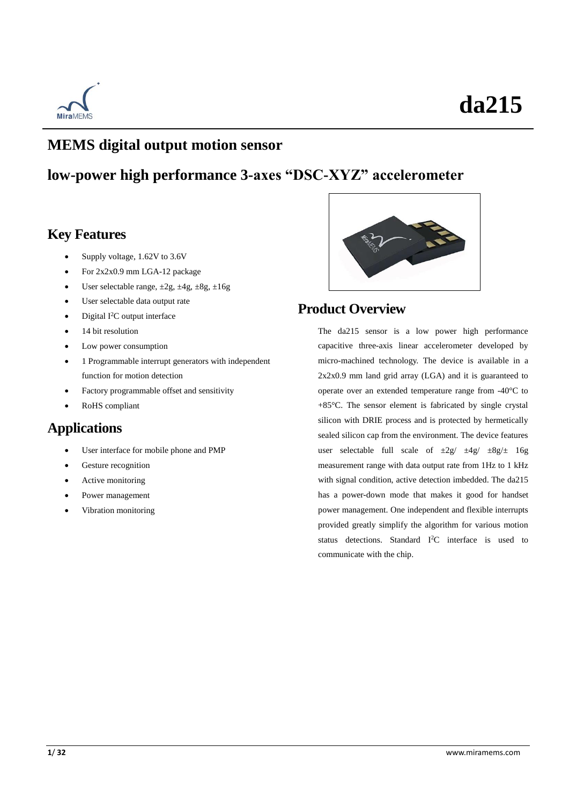

### **MEMS digital output motion sensor**

### **low-power high performance 3-axes "DSC-XYZ" accelerometer**

### **Key Features**

- Supply voltage, 1.62V to 3.6V
- For 2x2x0.9 mm LGA-12 package
- User selectable range,  $\pm 2g$ ,  $\pm 4g$ ,  $\pm 8g$ ,  $\pm 16g$
- User selectable data output rate
- Digital I<sup>2</sup>C output interface
- 14 bit resolution
- Low power consumption
- 1 Programmable interrupt generators with independent function for motion detection
- Factory programmable offset and sensitivity
- RoHS compliant

### **Applications**

- User interface for mobile phone and PMP
- Gesture recognition
- Active monitoring
- Power management
- Vibration monitoring



### **Product Overview**

The da215 sensor is a low power high performance capacitive three-axis linear accelerometer developed by micro-machined technology. The device is available in a 2x2x0.9 mm land grid array (LGA) and it is guaranteed to operate over an extended temperature range from -40  $\mathbb C$  to +85°C. The sensor element is fabricated by single crystal silicon with DRIE process and is protected by hermetically sealed silicon cap from the environment. The device features user selectable full scale of  $\pm 2g / \pm 4g / \pm 8g/\pm 16g$ measurement range with data output rate from 1Hz to 1 kHz with signal condition, active detection imbedded. The da215 has a power-down mode that makes it good for handset power management. One independent and flexible interrupts provided greatly simplify the algorithm for various motion status detections. Standard I<sup>2</sup>C interface is used to communicate with the chip.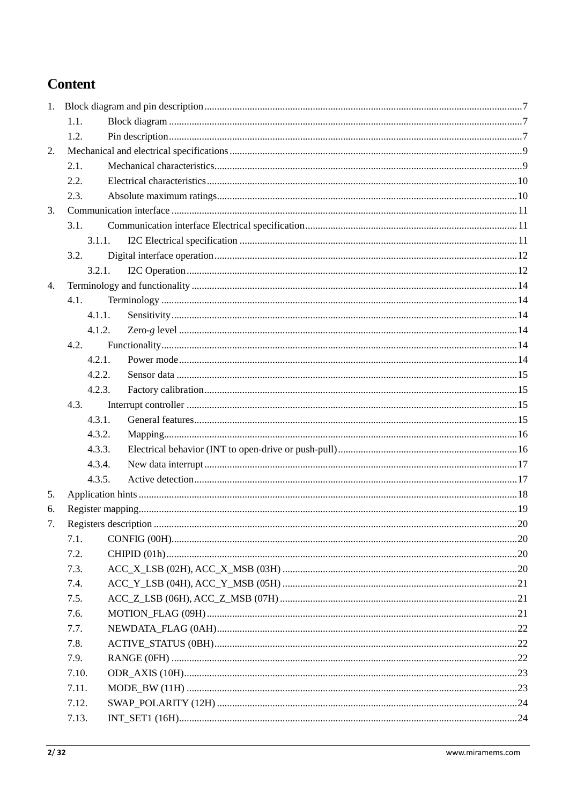### **Content**

|    | 1.1.   |  |
|----|--------|--|
|    | 1.2.   |  |
| 2. |        |  |
|    | 2.1.   |  |
|    | 2.2.   |  |
|    | 2.3.   |  |
| 3. |        |  |
|    | 3.1.   |  |
|    | 3.1.1. |  |
|    | 3.2.   |  |
|    | 3.2.1. |  |
| 4. |        |  |
|    | 4.1.   |  |
|    | 4.1.1. |  |
|    | 4.1.2. |  |
|    | 4.2.   |  |
|    | 4.2.1. |  |
|    | 4.2.2. |  |
|    | 4.2.3. |  |
|    | 4.3.   |  |
|    | 4.3.1. |  |
|    | 4.3.2. |  |
|    | 4.3.3. |  |
|    | 4.3.4. |  |
|    | 4.3.5. |  |
| 5. |        |  |
| 6. |        |  |
| 7. |        |  |
|    | 7.1.   |  |
|    | 7.2.   |  |
|    | 7.3.   |  |
|    | 7.4.   |  |
|    | 7.5.   |  |
|    | 7.6.   |  |
|    | 7.7.   |  |
|    | 7.8.   |  |
|    | 7.9.   |  |
|    | 7.10.  |  |
|    | 7.11.  |  |
|    | 7.12.  |  |
|    | 7.13.  |  |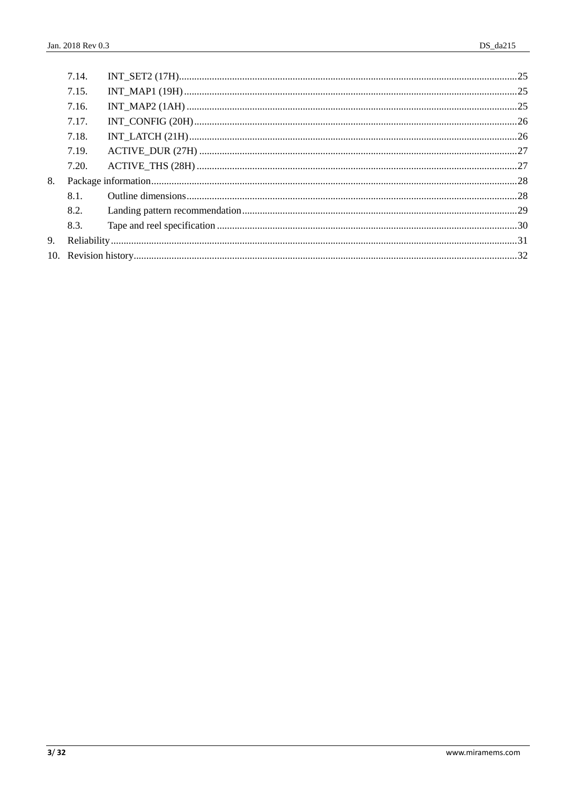|    | 7.14. |  |  |
|----|-------|--|--|
|    | 7.15. |  |  |
|    | 7.16. |  |  |
|    | 7.17. |  |  |
|    | 7.18. |  |  |
|    | 7.19. |  |  |
|    | 7.20. |  |  |
| 8. |       |  |  |
|    | 8.1.  |  |  |
|    | 8.2.  |  |  |
|    | 8.3.  |  |  |
| 9. |       |  |  |
|    |       |  |  |
|    |       |  |  |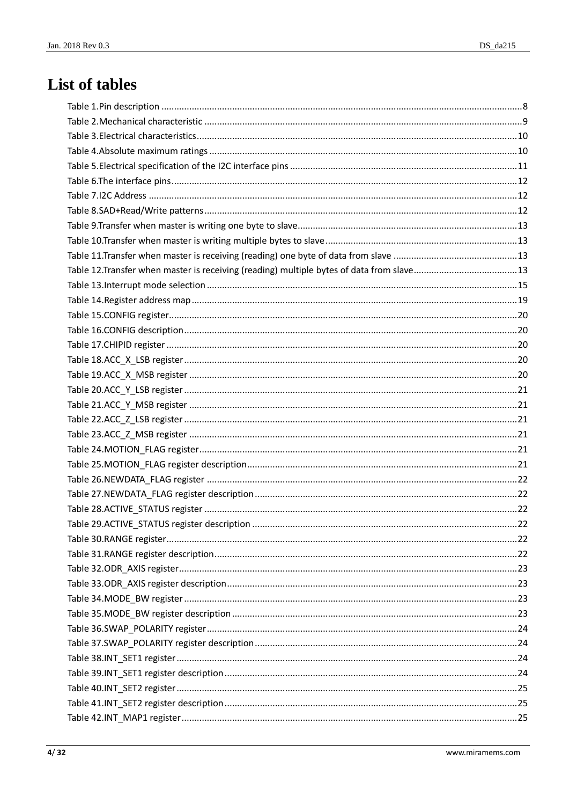## List of tables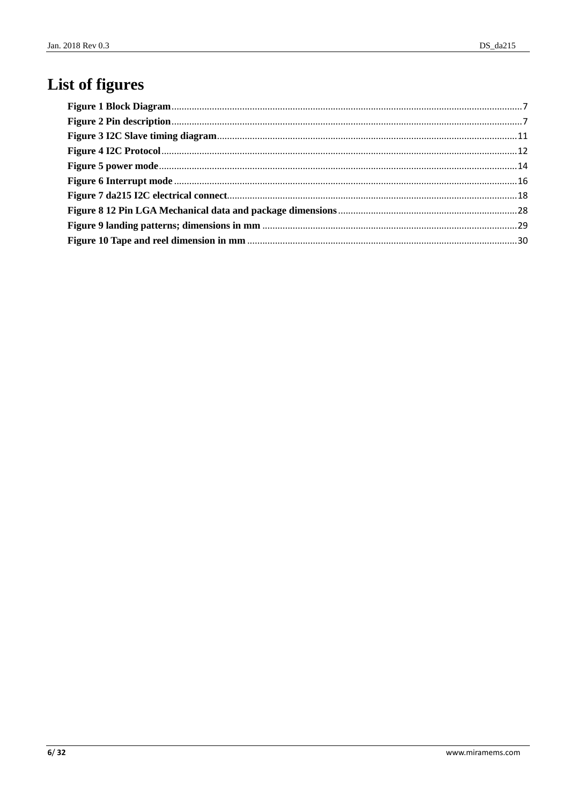## List of figures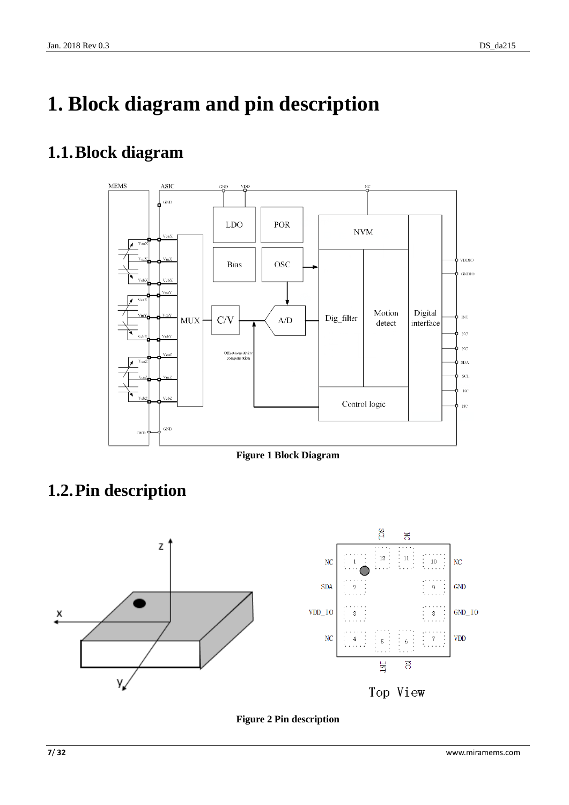# <span id="page-6-0"></span>**1. Block diagram and pin description**

## <span id="page-6-1"></span>**1.1.Block diagram**



**Figure 1 Block Diagram**

## <span id="page-6-3"></span><span id="page-6-2"></span>**1.2.Pin description**



<span id="page-6-4"></span>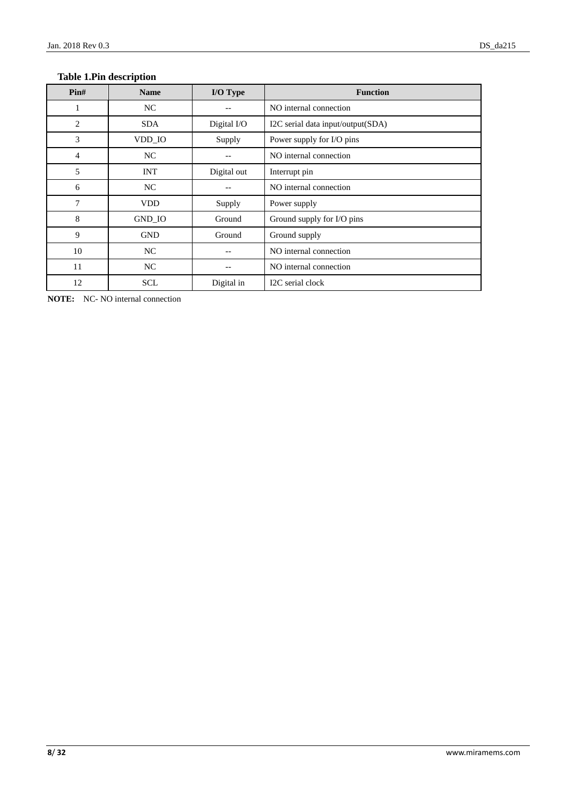#### <span id="page-7-0"></span>**Table 1.Pin description**

| $\text{Pin}\#$ | <b>Name</b> | I/O Type    | <b>Function</b>                   |  |
|----------------|-------------|-------------|-----------------------------------|--|
| 1              | NC          |             | NO internal connection            |  |
| $\overline{2}$ | <b>SDA</b>  | Digital I/O | I2C serial data input/output(SDA) |  |
| 3              | VDD_IO      | Supply      | Power supply for I/O pins         |  |
| 4              | NC          |             | NO internal connection            |  |
| 5              | <b>INT</b>  | Digital out | Interrupt pin                     |  |
| 6              | NC          |             | NO internal connection            |  |
| 7              | <b>VDD</b>  | Supply      | Power supply                      |  |
| 8              | GND_IO      | Ground      | Ground supply for I/O pins        |  |
| 9              | <b>GND</b>  | Ground      | Ground supply                     |  |
| 10             | NC          |             | NO internal connection            |  |
| 11             | NC          |             | NO internal connection            |  |
| 12             | <b>SCL</b>  | Digital in  | I2C serial clock                  |  |

**NOTE:** NC- NO internal connection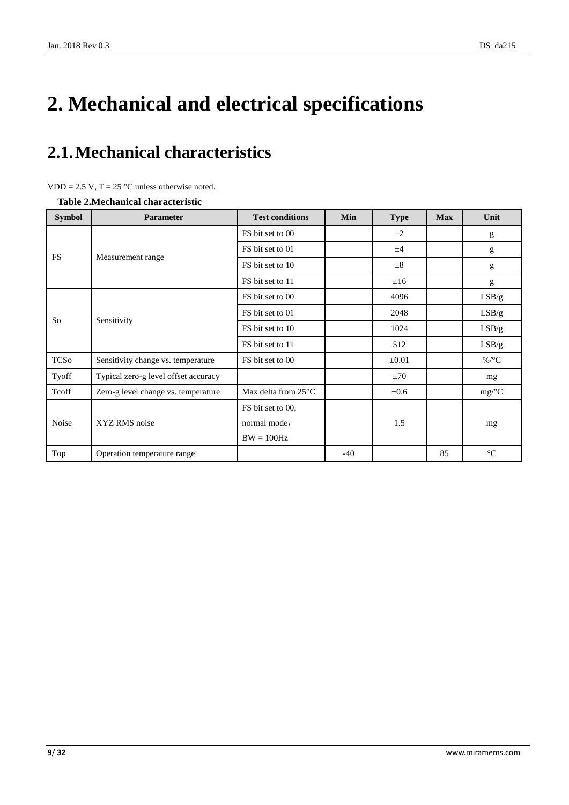# <span id="page-8-0"></span>**2. Mechanical and electrical specifications**

## <span id="page-8-1"></span>**2.1.Mechanical characteristics**

|  | $VDD = 2.5 V$ , T = 25 °C unless otherwise noted. |  |  |  |  |
|--|---------------------------------------------------|--|--|--|--|
|--|---------------------------------------------------|--|--|--|--|

<span id="page-8-2"></span>**Table 2.Mechanical characteristic**

| <b>Symbol</b>                                             | <b>Parameter</b>                     | <b>Test conditions</b>         | Min   | <b>Type</b> | <b>Max</b> | Unit             |
|-----------------------------------------------------------|--------------------------------------|--------------------------------|-------|-------------|------------|------------------|
|                                                           |                                      | FS bit set to 00               |       | $\pm 2$     |            | g                |
|                                                           |                                      | FS bit set to 01               |       | ±4          |            | g                |
|                                                           | Measurement range                    | FS bit set to 10               |       | $\pm 8$     |            | g                |
| <b>FS</b><br>So<br><b>TCSo</b><br>Tyoff<br>Tcoff<br>Noise |                                      | FS bit set to 11               |       | ±16         |            | g                |
|                                                           |                                      | FS bit set to 00               |       | 4096        |            | LSB/g            |
|                                                           |                                      | FS bit set to 01               |       | 2048        |            | LSB/g            |
|                                                           | Sensitivity                          | FS bit set to 10               |       | 1024        |            | LSB/g            |
|                                                           |                                      | FS bit set to 11               |       | 512         |            | LSB/g            |
|                                                           | Sensitivity change vs. temperature   | FS bit set to 00               |       | $\pm 0.01$  |            | %/ $\mathcal{C}$ |
|                                                           | Typical zero-g level offset accuracy |                                |       | ±70         |            | mg               |
|                                                           | Zero-g level change vs. temperature  | Max delta from 25 $\mathbb{C}$ |       | ±0.6        |            | mg/C             |
|                                                           |                                      | FS bit set to 00,              |       |             |            |                  |
|                                                           | XYZ RMS noise                        | normal mode,                   |       | 1.5         |            | mg               |
|                                                           |                                      | $BW = 100 Hz$                  |       |             |            |                  |
| Top                                                       | Operation temperature range          |                                | $-40$ |             | 85         | $\mathcal{C}$    |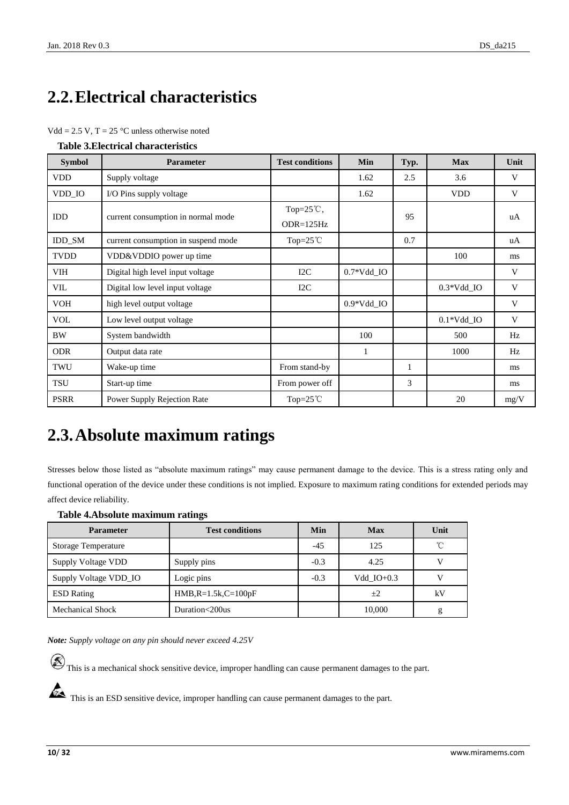## <span id="page-9-0"></span>**2.2.Electrical characteristics**

|  | $Vdd = 2.5 V$ , T = 25 °C unless otherwise noted |
|--|--------------------------------------------------|
|--|--------------------------------------------------|

<span id="page-9-2"></span>

| <b>Table 3. Electrical characteristics</b> |  |
|--------------------------------------------|--|
|--------------------------------------------|--|

| <b>Symbol</b> | Parameter                           | <b>Test conditions</b>              | Min          | Typ. | <b>Max</b>               | Unit |
|---------------|-------------------------------------|-------------------------------------|--------------|------|--------------------------|------|
| <b>VDD</b>    | Supply voltage                      |                                     | 1.62         | 2.5  | 3.6                      | V    |
| VDD_IO        | I/O Pins supply voltage             |                                     | 1.62         |      | <b>VDD</b>               | V    |
| IDD           | current consumption in normal mode  | Top= $25^{\circ}$ C,<br>$ODR=125Hz$ |              | 95   |                          | uA   |
| <b>IDD SM</b> | current consumption in suspend mode | Top= $25^{\circ}$ C                 |              | 0.7  |                          | uA   |
| <b>TVDD</b>   | VDD&VDDIO power up time             |                                     |              |      | 100                      | ms   |
| VIH           | Digital high level input voltage    | I2C                                 | $0.7*Vdd$ IO |      |                          | V    |
| VIL           | Digital low level input voltage     | I2C                                 |              |      | $0.3*Vdd$ IO             | V    |
| <b>VOH</b>    | high level output voltage           |                                     | $0.9*Vdd$ IO |      |                          | V    |
| <b>VOL</b>    | Low level output voltage            |                                     |              |      | $0.1*Vdd$ <sub>-IO</sub> | V    |
| <b>BW</b>     | System bandwidth                    |                                     | 100          |      | 500                      | Hz   |
| <b>ODR</b>    | Output data rate                    |                                     | 1            |      | 1000                     | Hz   |
| TWU           | Wake-up time                        | From stand-by                       |              | 1    |                          | ms   |
| TSU           | Start-up time                       | From power off                      |              | 3    |                          | ms   |
| <b>PSRR</b>   | Power Supply Rejection Rate         | Top= $25^{\circ}$ C                 |              |      | 20                       | mg/V |

### <span id="page-9-1"></span>**2.3.Absolute maximum ratings**

Stresses below those listed as "absolute maximum ratings" may cause permanent damage to the device. This is a stress rating only and functional operation of the device under these conditions is not implied. Exposure to maximum rating conditions for extended periods may affect device reliability.

#### <span id="page-9-3"></span>**Table 4.Absolute maximum ratings**

| <b>Parameter</b>           | <b>Test conditions</b> | Min    | <b>Max</b>   | Unit         |
|----------------------------|------------------------|--------|--------------|--------------|
| <b>Storage Temperature</b> |                        | $-4.5$ | 125          | $^{\circ}$ C |
| Supply Voltage VDD         | Supply pins            | $-0.3$ | 4.25         | V            |
| Supply Voltage VDD_IO      | Logic pins             | $-0.3$ | Vdd $IO+0.3$ | v            |
| <b>ESD</b> Rating          | $HMB, R=1.5k, C=100pF$ |        | $+2$         | kV           |
| <b>Mechanical Shock</b>    | Duration<200us         |        | 10,000       | g            |

*Note: Supply voltage on any pin should never exceed 4.25V*

 $\circledR$  This is a mechanical shock sensitive device, improper handling can cause permanent damages to the part.

This is an ESD sensitive device, improper handling can cause permanent damages to the part.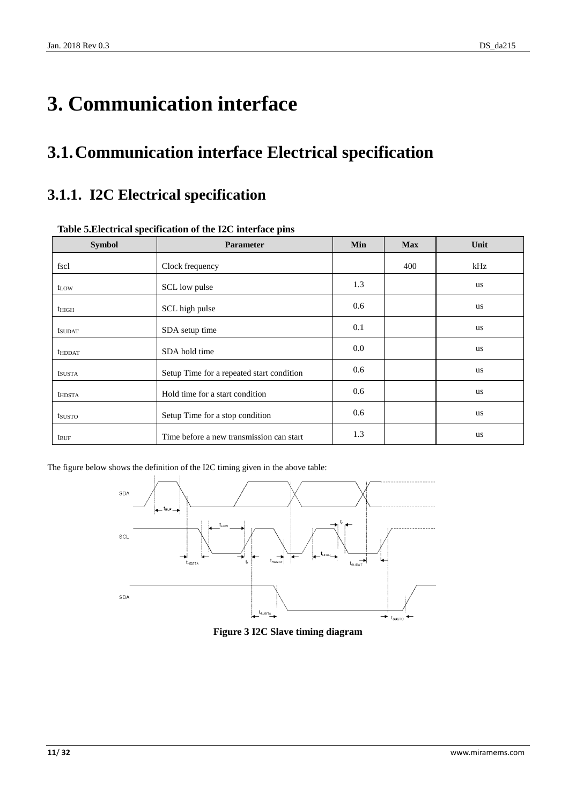# <span id="page-10-0"></span>**3. Communication interface**

## <span id="page-10-1"></span>**3.1.Communication interface Electrical specification**

### <span id="page-10-2"></span>**3.1.1. I2C Electrical specification**

| <b>Symbol</b>    | Parameter                                 | Min | <b>Max</b> | Unit      |
|------------------|-------------------------------------------|-----|------------|-----------|
| fscl             | Clock frequency                           |     | 400        | kHz       |
| t <sub>LOW</sub> | SCL low pulse                             | 1.3 |            | us        |
| $t_{\rm HIGH}$   | SCL high pulse                            | 0.6 |            | us        |
| <b>t</b> sudat   | SDA setup time                            | 0.1 |            | us        |
| <b>thddat</b>    | SDA hold time                             | 0.0 |            | <b>us</b> |
| tsusta           | Setup Time for a repeated start condition | 0.6 |            | <b>us</b> |
| <b>thDSTA</b>    | Hold time for a start condition           | 0.6 |            | us        |
| tsusto           | Setup Time for a stop condition           | 0.6 |            | us        |
| <b>t</b> buf     | Time before a new transmission can start  | 1.3 |            | us        |

#### <span id="page-10-3"></span>**Table 5.Electrical specification of the I2C interface pins**

<span id="page-10-4"></span>The figure below shows the definition of the I2C timing given in the above table:



**Figure 3 I2C Slave timing diagram**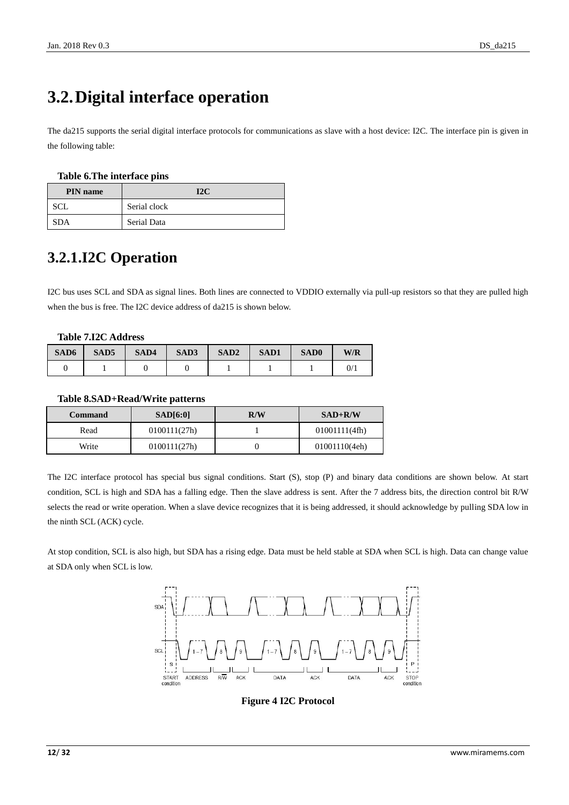## <span id="page-11-0"></span>**3.2.Digital interface operation**

The da215 supports the serial digital interface protocols for communications as slave with a host device: I2C. The interface pin is given in the following table:

#### <span id="page-11-2"></span>**Table 6.The interface pins**

| <b>PIN</b> name | I2C          |
|-----------------|--------------|
| SCL             | Serial clock |
| <b>SDA</b>      | Serial Data  |

### <span id="page-11-1"></span>**3.2.1.I2C Operation**

I2C bus uses SCL and SDA as signal lines. Both lines are connected to VDDIO externally via pull-up resistors so that they are pulled high when the bus is free. The I2C device address of da215 is shown below.

#### <span id="page-11-3"></span>**Table 7.I2C Address**

| SAD6 | SAD <sub>5</sub> | SAD4 | SAD3 | SAD <sub>2</sub> | <b>SAD1</b> | SAD <sub>0</sub> | W/R |
|------|------------------|------|------|------------------|-------------|------------------|-----|
|      |                  |      |      |                  |             |                  | 0/  |

#### <span id="page-11-4"></span>**Table 8.SAD+Read/Write patterns**

| Command | SAD[6:0]     | R/W | $SAD+R/W$     |
|---------|--------------|-----|---------------|
| Read    | 0100111(27h) |     | 01001111(4fh) |
| Write   | 0100111(27h) |     | 01001110(4eh) |

The I2C interface protocol has special bus signal conditions. Start (S), stop (P) and binary data conditions are shown below. At start condition, SCL is high and SDA has a falling edge. Then the slave address is sent. After the 7 address bits, the direction control bit R/W selects the read or write operation. When a slave device recognizes that it is being addressed, it should acknowledge by pulling SDA low in the ninth SCL (ACK) cycle.

<span id="page-11-5"></span>At stop condition, SCL is also high, but SDA has a rising edge. Data must be held stable at SDA when SCL is high. Data can change value at SDA only when SCL is low.



**Figure 4 I2C Protocol**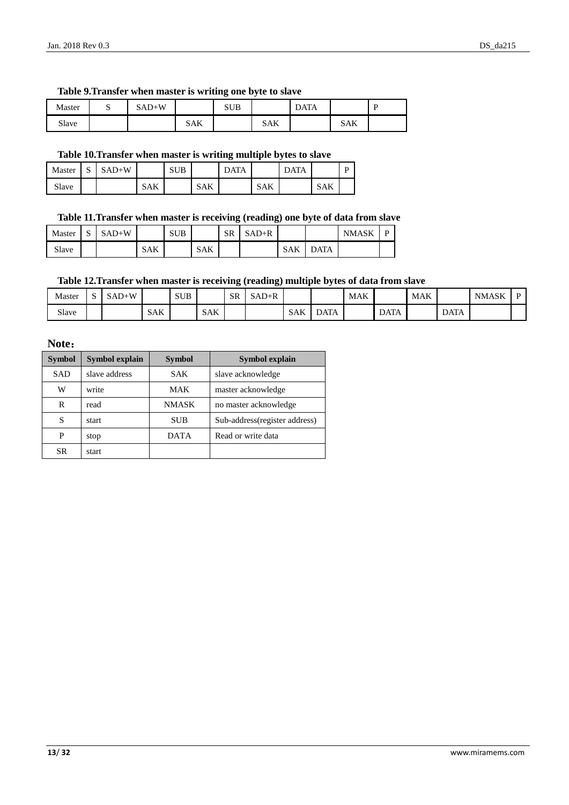#### <span id="page-12-0"></span>**Table 9.Transfer when master is writing one byte to slave**

| Master | ັ | $SAD+W$ |     | <b>SUB</b> |            | DATA |            | D |
|--------|---|---------|-----|------------|------------|------|------------|---|
| Slave  |   |         | SAK |            | <b>SAK</b> |      | <b>SAK</b> |   |

#### <span id="page-12-1"></span>**Table 10.Transfer when master is writing multiple bytes to slave**

| Master | $\sim$<br>ມ | $SAD+W$ |            | <b>SUB</b> |            | <b>DATA</b> |            | <b>DATA</b> |            | D |
|--------|-------------|---------|------------|------------|------------|-------------|------------|-------------|------------|---|
| Slave  |             |         | <b>SAK</b> |            | <b>SAK</b> |             | <b>SAK</b> |             | <b>SAK</b> |   |

#### <span id="page-12-2"></span>**Table 11.Transfer when master is receiving (reading) one byte of data from slave**

| Master | $\sim$<br>د، | $SAD+W$ |     | <b>SUB</b> |            | <b>SR</b> | $SAD+R$ |            |             | <b>NMASK</b> | D |
|--------|--------------|---------|-----|------------|------------|-----------|---------|------------|-------------|--------------|---|
| Slave  |              |         | SAK |            | <b>SAK</b> |           |         | <b>SAK</b> | <b>DATA</b> |              |   |

#### <span id="page-12-3"></span>**Table 12.Transfer when master is receiving (reading) multiple bytes of data from slave**

| Master | $\tilde{\phantom{a}}$ | $SAD+W$ |            | <b>SUB</b> |            | SR | $SAD+R$ |            |             | <b>MAK</b> |             | <b>MAK</b> |             | <b>NMASK</b> |  |
|--------|-----------------------|---------|------------|------------|------------|----|---------|------------|-------------|------------|-------------|------------|-------------|--------------|--|
| Slave  |                       |         | <b>SAK</b> |            | <b>SAK</b> |    |         | <b>SAK</b> | <b>DATA</b> |            | <b>DATA</b> |            | <b>DATA</b> |              |  |

#### **Note**:

| <b>Symbol</b> | <b>Symbol explain</b> | <b>Symbol</b> | Symbol explain                 |
|---------------|-----------------------|---------------|--------------------------------|
| <b>SAD</b>    | slave address         | <b>SAK</b>    | slave acknowledge              |
| W             | write                 | MAK           | master acknowledge             |
| R             | read                  | <b>NMASK</b>  | no master acknowledge          |
| S             | start                 | <b>SUB</b>    | Sub-address (register address) |
| P             | stop                  | <b>DATA</b>   | Read or write data             |
| <b>SR</b>     | start                 |               |                                |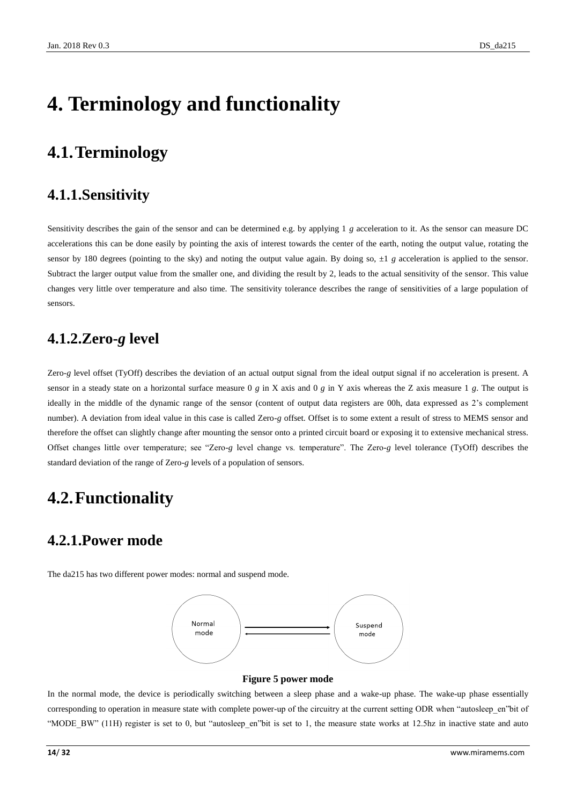# <span id="page-13-0"></span>**4. Terminology and functionality**

### <span id="page-13-1"></span>**4.1.Terminology**

### <span id="page-13-2"></span>**4.1.1.Sensitivity**

Sensitivity describes the gain of the sensor and can be determined e.g. by applying 1 *g* acceleration to it. As the sensor can measure DC accelerations this can be done easily by pointing the axis of interest towards the center of the earth, noting the output value, rotating the sensor by 180 degrees (pointing to the sky) and noting the output value again. By doing so,  $\pm 1$  *g* acceleration is applied to the sensor. Subtract the larger output value from the smaller one, and dividing the result by 2, leads to the actual sensitivity of the sensor. This value changes very little over temperature and also time. The sensitivity tolerance describes the range of sensitivities of a large population of sensors.

### <span id="page-13-3"></span>**4.1.2.Zero-***g* **level**

Zero-*g* level offset (TyOff) describes the deviation of an actual output signal from the ideal output signal if no acceleration is present. A sensor in a steady state on a horizontal surface measure 0 *g* in X axis and 0 *g* in Y axis whereas the Z axis measure 1 *g*. The output is ideally in the middle of the dynamic range of the sensor (content of output data registers are 00h, data expressed as 2's complement number). A deviation from ideal value in this case is called Zero-*g* offset. Offset is to some extent a result of stress to MEMS sensor and therefore the offset can slightly change after mounting the sensor onto a printed circuit board or exposing it to extensive mechanical stress. Offset changes little over temperature; see "Zero-*g* level change vs. temperature". The Zero-*g* level tolerance (TyOff) describes the standard deviation of the range of Zero-*g* levels of a population of sensors.

### <span id="page-13-4"></span>**4.2.Functionality**

### <span id="page-13-5"></span>**4.2.1.Power mode**

The da215 has two different power modes: normal and suspend mode.



#### **Figure 5 power mode**

<span id="page-13-6"></span>In the normal mode, the device is periodically switching between a sleep phase and a wake-up phase. The wake-up phase essentially corresponding to operation in measure state with complete power-up of the circuitry at the current setting ODR when "autosleep\_en"bit of "MODE\_BW" (11H) register is set to 0, but "autosleep\_en"bit is set to 1, the measure state works at 12.5hz in inactive state and auto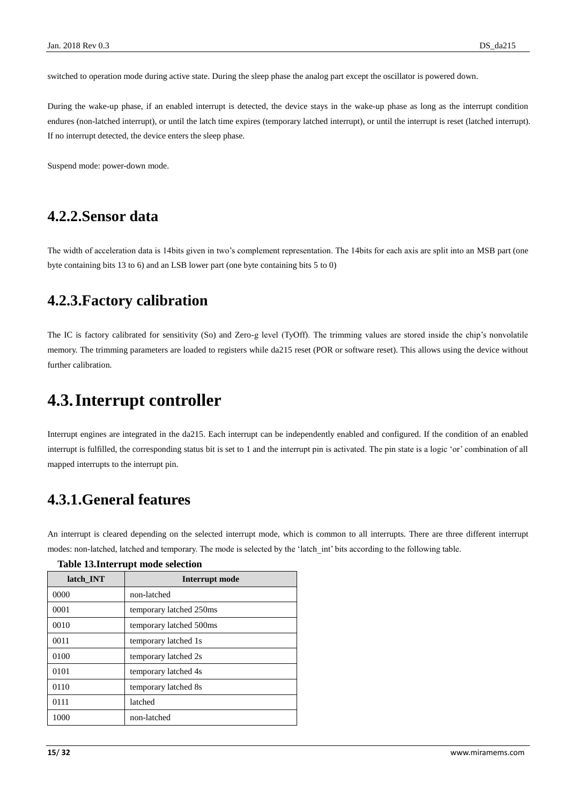switched to operation mode during active state. During the sleep phase the analog part except the oscillator is powered down.

During the wake-up phase, if an enabled interrupt is detected, the device stays in the wake-up phase as long as the interrupt condition endures (non-latched interrupt), or until the latch time expires (temporary latched interrupt), or until the interrupt is reset (latched interrupt). If no interrupt detected, the device enters the sleep phase.

Suspend mode: power-down mode.

### <span id="page-14-0"></span>**4.2.2.Sensor data**

<span id="page-14-1"></span>The width of acceleration data is 14bits given in two's complement representation. The 14bits for each axis are split into an MSB part (one byte containing bits 13 to 6) and an LSB lower part (one byte containing bits 5 to 0)

### **4.2.3.Factory calibration**

The IC is factory calibrated for sensitivity (So) and Zero-g level (TyOff). The trimming values are stored inside the chip's nonvolatile memory. The trimming parameters are loaded to registers while da215 reset (POR or software reset). This allows using the device without further calibration.

### <span id="page-14-2"></span>**4.3.Interrupt controller**

Interrupt engines are integrated in the da215. Each interrupt can be independently enabled and configured. If the condition of an enabled interrupt is fulfilled, the corresponding status bit is set to 1 and the interrupt pin is activated. The pin state is a logic 'or' combination of all mapped interrupts to the interrupt pin.

### <span id="page-14-3"></span>**4.3.1.General features**

An interrupt is cleared depending on the selected interrupt mode, which is common to all interrupts. There are three different interrupt modes: non-latched, latched and temporary. The mode is selected by the 'latch\_int' bits according to the following table.

| latch INT | Interrupt mode          |
|-----------|-------------------------|
| 0000      | non-latched             |
| 0001      | temporary latched 250ms |
| 0010      | temporary latched 500ms |
| 0011      | temporary latched 1s    |
| 0100      | temporary latched 2s    |
| 0101      | temporary latched 4s    |
| 0110      | temporary latched 8s    |
| 0111      | latched                 |
| 1000      | non-latched             |

#### <span id="page-14-4"></span>**Table 13.Interrupt mode selection**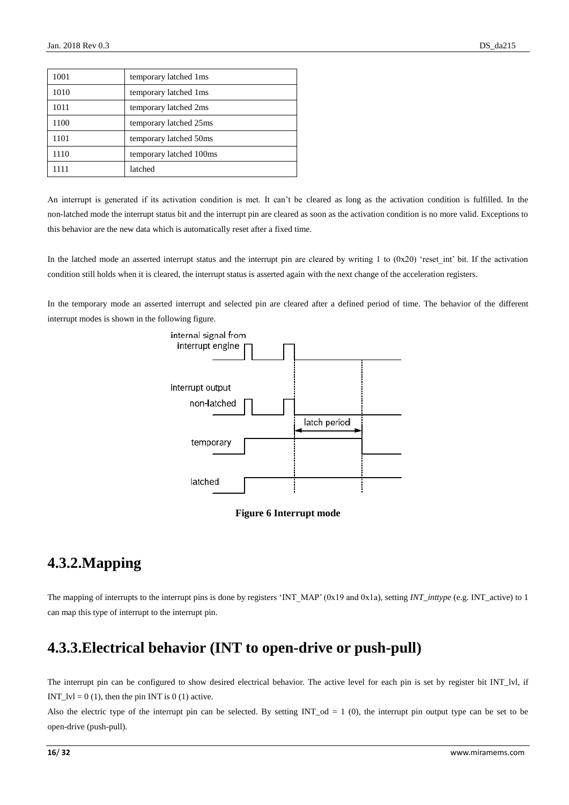| 1001 | temporary latched 1ms   |
|------|-------------------------|
| 1010 | temporary latched 1ms   |
| 1011 | temporary latched 2ms   |
| 1100 | temporary latched 25ms  |
| 1101 | temporary latched 50ms  |
| 1110 | temporary latched 100ms |
| 1111 | latched                 |

An interrupt is generated if its activation condition is met. It can't be cleared as long as the activation condition is fulfilled. In the non-latched mode the interrupt status bit and the interrupt pin are cleared as soon as the activation condition is no more valid. Exceptions to this behavior are the new data which is automatically reset after a fixed time.

In the latched mode an asserted interrupt status and the interrupt pin are cleared by writing 1 to  $(0x20)$  'reset int' bit. If the activation condition still holds when it is cleared, the interrupt status is asserted again with the next change of the acceleration registers.

In the temporary mode an asserted interrupt and selected pin are cleared after a defined period of time. The behavior of the different interrupt modes is shown in the following figure.





### <span id="page-15-2"></span><span id="page-15-0"></span>**4.3.2.Mapping**

The mapping of interrupts to the interrupt pins is done by registers 'INT\_MAP' (0x19 and 0x1a), setting *INT\_inttype* (e.g. INT\_active) to 1 can map this type of interrupt to the interrupt pin.

### <span id="page-15-1"></span>**4.3.3.Electrical behavior (INT to open-drive or push-pull)**

The interrupt pin can be configured to show desired electrical behavior. The active level for each pin is set by register bit INT\_lvl, if INT  $|V| = 0 (1)$ , then the pin INT is 0 (1) active.

Also the electric type of the interrupt pin can be selected. By setting  $INT\_od = 1$  (0), the interrupt pin output type can be set to be open-drive (push-pull).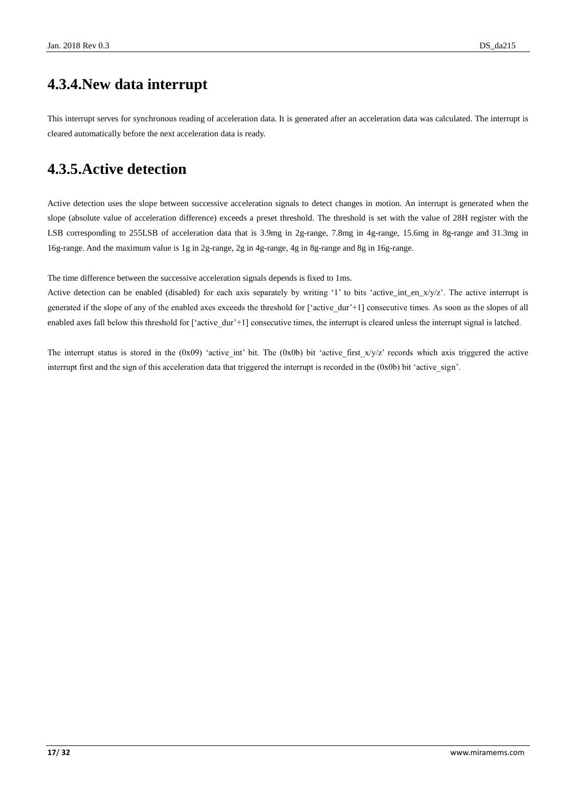### <span id="page-16-0"></span>**4.3.4.New data interrupt**

This interrupt serves for synchronous reading of acceleration data. It is generated after an acceleration data was calculated. The interrupt is cleared automatically before the next acceleration data is ready.

### <span id="page-16-1"></span>**4.3.5.Active detection**

Active detection uses the slope between successive acceleration signals to detect changes in motion. An interrupt is generated when the slope (absolute value of acceleration difference) exceeds a preset threshold. The threshold is set with the value of 28H register with the LSB corresponding to 255LSB of acceleration data that is 3.9mg in 2g-range, 7.8mg in 4g-range, 15.6mg in 8g-range and 31.3mg in 16g-range. And the maximum value is 1g in 2g-range, 2g in 4g-range, 4g in 8g-range and 8g in 16g-range.

The time difference between the successive acceleration signals depends is fixed to 1ms.

Active detection can be enabled (disabled) for each axis separately by writing '1' to bits 'active\_int\_en\_x/y/z'. The active interrupt is generated if the slope of any of the enabled axes exceeds the threshold for ['active\_dur'+1] consecutive times. As soon as the slopes of all enabled axes fall below this threshold for ['active\_dur'+1] consecutive times, the interrupt is cleared unless the interrupt signal is latched.

The interrupt status is stored in the  $(0x09)$  'active int' bit. The  $(0x0b)$  bit 'active first  $x/y/z$ ' records which axis triggered the active interrupt first and the sign of this acceleration data that triggered the interrupt is recorded in the  $(0x0b)$  bit 'active sign'.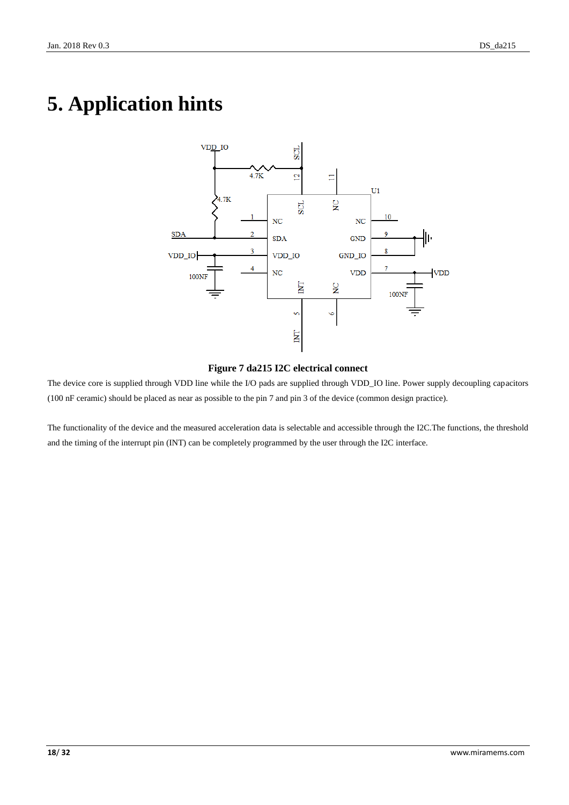# <span id="page-17-0"></span>**5. Application hints**



#### **Figure 7 da215 I2C electrical connect**

<span id="page-17-1"></span>The device core is supplied through VDD line while the I/O pads are supplied through VDD\_IO line. Power supply decoupling capacitors (100 nF ceramic) should be placed as near as possible to the pin 7 and pin 3 of the device (common design practice).

The functionality of the device and the measured acceleration data is selectable and accessible through the I2C.The functions, the threshold and the timing of the interrupt pin (INT) can be completely programmed by the user through the I2C interface.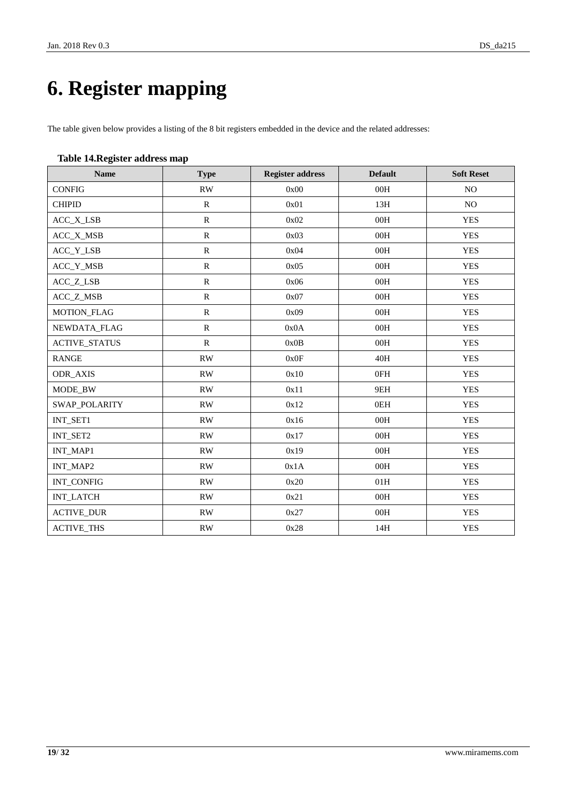# <span id="page-18-0"></span>**6. Register mapping**

The table given below provides a listing of the 8 bit registers embedded in the device and the related addresses:

#### <span id="page-18-1"></span>**Table 14.Register address map**

| <b>Name</b>          | <b>Type</b>            | <b>Register address</b> | <b>Default</b> | <b>Soft Reset</b> |
|----------------------|------------------------|-------------------------|----------------|-------------------|
| <b>CONFIG</b>        | RW                     | 0x00                    | 00H            | NO.               |
| <b>CHIPID</b>        | $\mathbf R$            | 0x01                    | 13H            | NO.               |
| ACC_X_LSB            | ${\bf R}$              | 0x02                    | 00H            | <b>YES</b>        |
| ACC_X_MSB            | ${\bf R}$              | 0x03                    | 00H            | <b>YES</b>        |
| ACC_Y_LSB            | ${\bf R}$              | 0x04                    | 00H            | <b>YES</b>        |
| ACC_Y_MSB            | ${\bf R}$              | 0x05                    | 00H            | <b>YES</b>        |
| ACC_Z_LSB            | $\mathbb{R}$           | 0x06                    | 00H            | <b>YES</b>        |
| ACC_Z_MSB            | ${\bf R}$              | 0x07                    | 00H            | <b>YES</b>        |
| MOTION_FLAG          | ${\bf R}$              | 0x09                    | 00H            | <b>YES</b>        |
| NEWDATA_FLAG         | ${\bf R}$              | 0x0A                    | 00H            | <b>YES</b>        |
| <b>ACTIVE_STATUS</b> | $\mathbf R$            | 0x0B                    | 00H            | <b>YES</b>        |
| <b>RANGE</b>         | RW                     | 0x0F                    | 40H            | <b>YES</b>        |
| ODR_AXIS             | $\mathbf{R}\mathbf{W}$ | 0x10                    | 0FH            | <b>YES</b>        |
| MODE_BW              | RW                     | 0x11                    | 9EH            | <b>YES</b>        |
| SWAP_POLARITY        | <b>RW</b>              | 0x12                    | 0EH            | <b>YES</b>        |
| INT_SET1             | <b>RW</b>              | 0x16                    | 00H            | <b>YES</b>        |
| INT_SET2             | <b>RW</b>              | 0x17                    | 00H            | <b>YES</b>        |
| INT_MAP1             | $\mathbf{R}\mathbf{W}$ | 0x19                    | 00H            | <b>YES</b>        |
| INT_MAP2             | RW                     | 0x1A                    | 00H            | <b>YES</b>        |
| INT_CONFIG           | $\mathbf{R}\mathbf{W}$ | 0x20                    | 01H            | <b>YES</b>        |
| <b>INT_LATCH</b>     | RW                     | 0x21                    | 00H            | <b>YES</b>        |
| <b>ACTIVE_DUR</b>    | $\mathbf{R}\mathbf{W}$ | 0x27                    | 00H            | <b>YES</b>        |
| <b>ACTIVE_THS</b>    | $\mathbf{R}\mathbf{W}$ | 0x28                    | 14H            | <b>YES</b>        |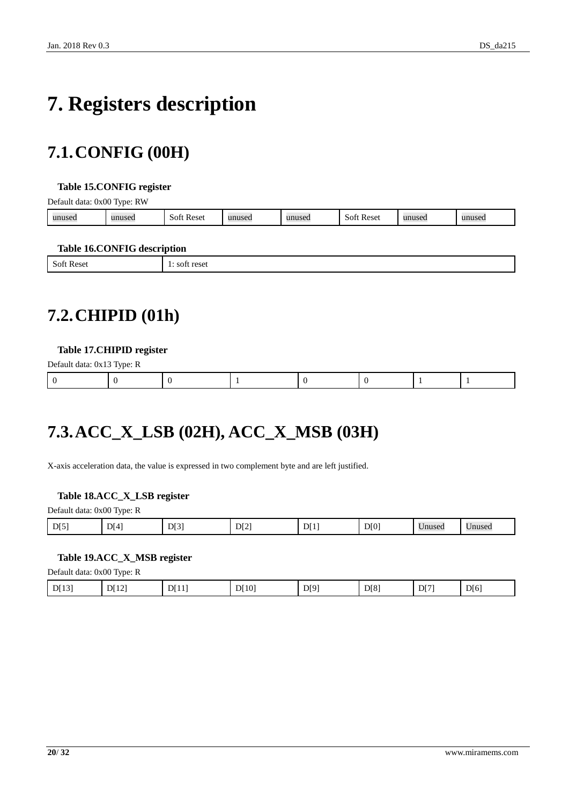# <span id="page-19-0"></span>**7. Registers description**

## <span id="page-19-1"></span>**7.1.CONFIG (00H)**

#### <span id="page-19-4"></span>**Table 15.CONFIG register**

Default data: 0x00 Type: RW

| unused | _______<br>11111000<br>nusec | <b>Reset</b><br>-SOF | 11n<br><b>LUSCU</b> | unused | Reset<br>SOT | าusec | 1111322 |
|--------|------------------------------|----------------------|---------------------|--------|--------------|-------|---------|
|        |                              |                      |                     |        |              |       |         |

#### <span id="page-19-5"></span>**Table 16.CONFIG description**

|                                                       | -     |
|-------------------------------------------------------|-------|
| $\mathbf{C}$<br><b>Rese</b><br>NOTI<br>∼<br>--------- | <br>. |
|                                                       |       |

## <span id="page-19-2"></span>**7.2.CHIPID (01h)**

#### <span id="page-19-6"></span>**Table 17.CHIPID register**

| Default data: 0x13 Type: R |  |  |  |  |
|----------------------------|--|--|--|--|
|                            |  |  |  |  |

## <span id="page-19-3"></span>**7.3.ACC\_X\_LSB (02H), ACC\_X\_MSB (03H)**

X-axis acceleration data, the value is expressed in two complement byte and are left justified.

#### <span id="page-19-7"></span>**Table 18.ACC\_X\_LSB register**

| Default data: 0x00 Type: R |  |  |
|----------------------------|--|--|
|                            |  |  |

| DI0<br>DI5<br>DI1<br>DI31<br>--<br>- -<br>$\mathbf{D}$<br>DI4'<br>nnca<br>Inused<br>$\cdot$ muse.<br>₽ΙΖ |
|----------------------------------------------------------------------------------------------------------|
|----------------------------------------------------------------------------------------------------------|

#### <span id="page-19-8"></span>**Table 19.ACC\_X\_MSB register**

Default data: 0x00 Type: R

| ◡<br>111<br>. .<br>-<br>. . |       |       |      |      |      |      |      |      |
|-----------------------------|-------|-------|------|------|------|------|------|------|
|                             | D[13] | D[12] | DT11 | DI10 | D[9] | D[8] | DT71 | D[6] |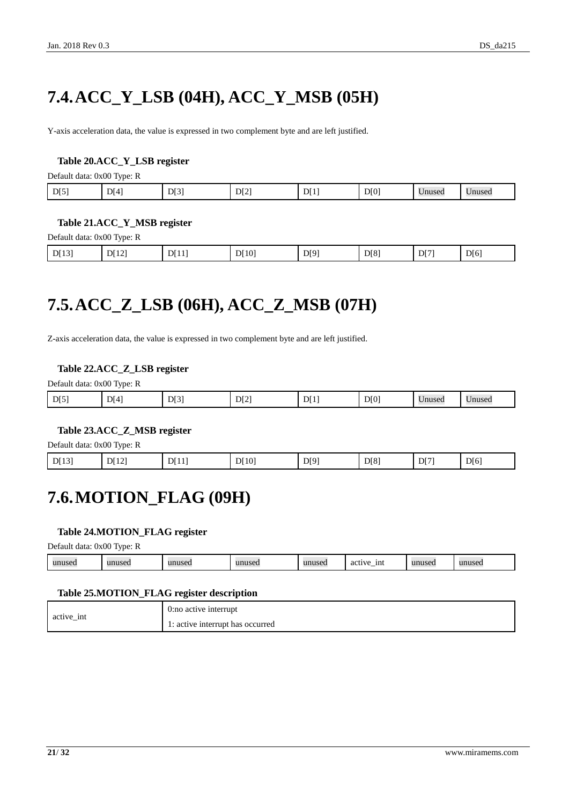## <span id="page-20-0"></span>**7.4.ACC\_Y\_LSB (04H), ACC\_Y\_MSB (05H)**

Y-axis acceleration data, the value is expressed in two complement byte and are left justified.

#### <span id="page-20-3"></span>**Table 20.ACC\_Y\_LSB register**

Default data: 0x00 Type: R

| D[0]<br>D[3]<br>D[4]<br>DI1<br>D[5]<br>D[2]<br>$ -$<br>Unused | Unused. |
|---------------------------------------------------------------|---------|
|---------------------------------------------------------------|---------|

#### <span id="page-20-4"></span>**Table 21.ACC\_Y\_MSB register**

Default data: 0x00 Type: R

| D[8]<br>D[12]<br>D[9]<br>D[7]<br>D[6]<br>D[13]<br>D[11]<br>D[10]<br>. . |
|-------------------------------------------------------------------------|
|-------------------------------------------------------------------------|

## <span id="page-20-1"></span>**7.5.ACC\_Z\_LSB (06H), ACC\_Z\_MSB (07H)**

Z-axis acceleration data, the value is expressed in two complement byte and are left justified.

#### <span id="page-20-5"></span>**Table 22.ACC\_Z\_LSB register**

Default data: 0x00 Type: R

| D[5] | DI4' | D[3] | DI2 | $\mathbf{D}^{\mathsf{T}}$ | D[0] | Inused | Unused |
|------|------|------|-----|---------------------------|------|--------|--------|
|      |      |      |     |                           |      |        |        |

#### <span id="page-20-6"></span>**Table 23.ACC\_Z\_MSB register**

Default data: 0x00 Type: R

<span id="page-20-2"></span>

| D[13] | DI12 | DI11 | DI10 | D[9] | D[8] | DI71 | DI6' |
|-------|------|------|------|------|------|------|------|
|-------|------|------|------|------|------|------|------|

### **7.6.MOTION\_FLAG (09H)**

#### <span id="page-20-7"></span>**Table 24.MOTION\_FLAG register**

Default data: 0x00 Type: R

| -1nt<br>$\cdots$<br>unused<br>unused<br>$\cdots$<br>unused<br>unuseo.<br>activ<br>145C.<br>$\sim$<br>$\sim$<br>$\cdots$ |
|-------------------------------------------------------------------------------------------------------------------------|
|-------------------------------------------------------------------------------------------------------------------------|

#### <span id="page-20-8"></span>**Table 25.MOTION\_FLAG register description**

| active int | 0:no active interrupt            |
|------------|----------------------------------|
|            | 1: active interrupt has occurred |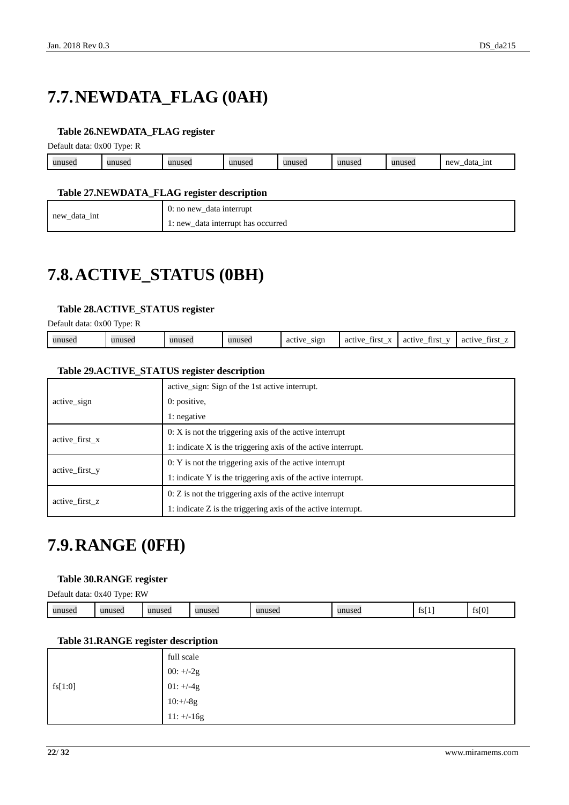## <span id="page-21-0"></span>**7.7.NEWDATA\_FLAG (0AH)**

#### <span id="page-21-3"></span>**Table 26.NEWDATA\_FLAG register**

Default data: 0x00 Type: R

| unused | $\mathbf{u}$<br>useu | 1011000<br>14560 | unusea | unused | unused | 1111100<br>unuset. | new<br>1nt<br>data<br><u>_</u> |
|--------|----------------------|------------------|--------|--------|--------|--------------------|--------------------------------|
|        |                      |                  |        |        |        |                    |                                |

#### <span id="page-21-4"></span>**Table 27.NEWDATA\_FLAG register description**

| new_data_int | 0: no new_data interrupt                     |
|--------------|----------------------------------------------|
| —            | data interrupt has occurred<br>$\iota$ : new |

## <span id="page-21-1"></span>**7.8.ACTIVE\_STATUS (0BH)**

#### <span id="page-21-5"></span>**Table 28.ACTIVE\_STATUS register**

Default data: 0x00 Type: R

| sıgn<br><br>1111100<br>unused<br>active<br>tırst.<br>active<br>unused<br>active<br>active<br>first<br>aci<br>-- | tira<br>. .<br>_<br>-- |
|-----------------------------------------------------------------------------------------------------------------|------------------------|
|-----------------------------------------------------------------------------------------------------------------|------------------------|

#### <span id="page-21-6"></span>**Table 29.ACTIVE\_STATUS register description**

|                | active sign: Sign of the 1st active interrupt.                |
|----------------|---------------------------------------------------------------|
| active sign    | $0:$ positive,                                                |
|                | 1: negative                                                   |
| active first x | $0: X$ is not the triggering axis of the active interrupt     |
|                | 1: indicate X is the triggering axis of the active interrupt. |
| active first y | $0: Y$ is not the triggering axis of the active interrupt     |
|                | 1: indicate Y is the triggering axis of the active interrupt. |
|                | $0: Z$ is not the triggering axis of the active interrupt     |
| active first z | 1: indicate Z is the triggering axis of the active interrupt. |

### <span id="page-21-2"></span>**7.9.RANGE (0FH)**

#### <span id="page-21-7"></span>**Table 30.RANGE register**

Default data: 0x40 Type: RW

| unused | $\mathbf{m}\mathbf{n}\mathbf{n}$<br>шихел | unused | unused | unuseo | $-211000$<br> | - ISL | $\sim$ $\sim$<br>$+$ $-$<br>13 I V |
|--------|-------------------------------------------|--------|--------|--------|---------------|-------|------------------------------------|
|--------|-------------------------------------------|--------|--------|--------|---------------|-------|------------------------------------|

#### <span id="page-21-8"></span>**Table 31.RANGE register description**

|         | full scale   |
|---------|--------------|
|         | $00: +/-2g$  |
| fs[1:0] | $01: +/-4g$  |
|         | $10:+/8g$    |
|         | $11: +/-16g$ |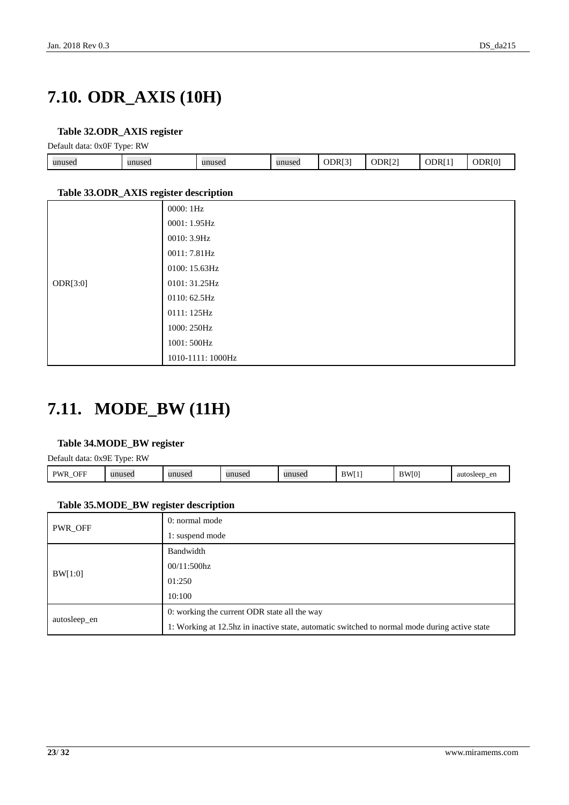## <span id="page-22-0"></span>**7.10. ODR\_AXIS (10H)**

#### <span id="page-22-2"></span>**Table 32.ODR\_AXIS register**

Default data: 0x0F Type: RW

| - -    |        |        |        |        |                    |     |   |
|--------|--------|--------|--------|--------|--------------------|-----|---|
| unused | unused | unused | unused | ODR[3] | ODR <sub>[2]</sub> | ODR | ж |
|        |        |        |        |        |                    |     |   |

#### <span id="page-22-3"></span>**Table 33.ODR\_AXIS register description**

| $\tilde{}$ |                   |
|------------|-------------------|
|            | 0000:1Hz          |
|            | 0001: 1.95Hz      |
|            | 0010: 3.9Hz       |
|            | 0011: 7.81Hz      |
|            | 0100: 15.63Hz     |
| ODR[3:0]   | 0101: 31.25Hz     |
|            | 0110: 62.5Hz      |
|            | 0111: 125Hz       |
|            | 1000: 250Hz       |
|            | 1001: 500Hz       |
|            | 1010-1111: 1000Hz |

### <span id="page-22-1"></span>**7.11. MODE\_BW (11H)**

#### <span id="page-22-4"></span>**Table 34.MODE\_BW register**

Default data: 0x9E Type: RW

| OFF<br>DW <sub>L</sub><br>.711<br>- | unused | unusea | unused | unused | <b>BWI</b><br>., | $\overline{1}$<br>- 181 | auto<br>en<br>$H\alpha\alpha r$<br>,,,,,,,,,<br>.<br> |
|-------------------------------------|--------|--------|--------|--------|------------------|-------------------------|-------------------------------------------------------|
|                                     |        |        |        |        |                  |                         |                                                       |

#### <span id="page-22-5"></span>**Table 35.MODE\_BW register description**

| PWR_OFF      | 0: normal mode                                                                                |  |  |  |  |
|--------------|-----------------------------------------------------------------------------------------------|--|--|--|--|
|              | 1: suspend mode                                                                               |  |  |  |  |
|              | Bandwidth                                                                                     |  |  |  |  |
| BW[1:0]      | $00/11:500\text{hz}$                                                                          |  |  |  |  |
|              | 01:250                                                                                        |  |  |  |  |
|              | 10:100                                                                                        |  |  |  |  |
|              | 0: working the current ODR state all the way                                                  |  |  |  |  |
| autosleep_en | 1: Working at 12.5hz in inactive state, automatic switched to normal mode during active state |  |  |  |  |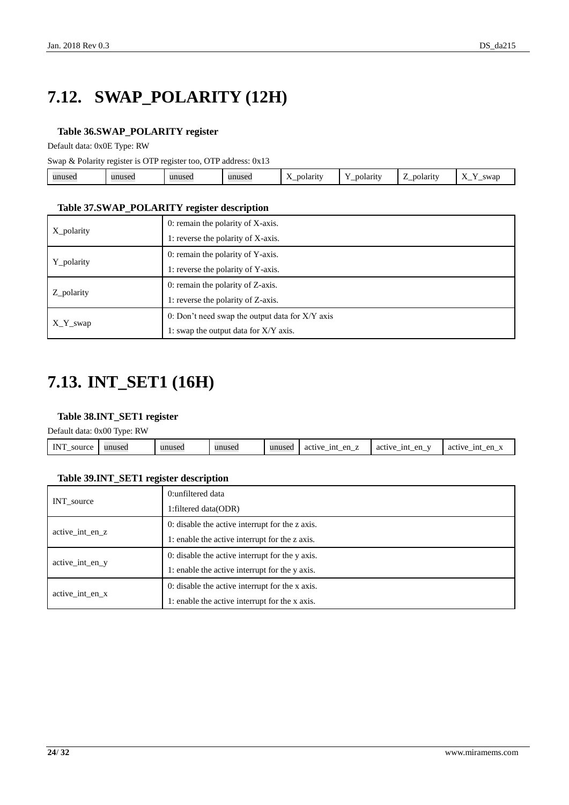# <span id="page-23-0"></span>**7.12. SWAP\_POLARITY (12H)**

#### <span id="page-23-2"></span>**Table 36.SWAP\_POLARITY register**

Default data: 0x0E Type: RW

Swap & Polarity register is OTP register too, OTP address: 0x13

| $\mathbf{v}$<br>polarity<br>swar<br>unused<br>unused<br>oolarit<br>unusea<br>.Jarity -<br>unused<br>ruscu<br>$\overline{1}$<br>-<br><u>—</u><br>_<br>_ |
|--------------------------------------------------------------------------------------------------------------------------------------------------------|
|--------------------------------------------------------------------------------------------------------------------------------------------------------|

#### <span id="page-23-3"></span>**Table 37.SWAP\_POLARITY register description**

| X polarity | 0: remain the polarity of X-axis.                 |  |  |  |  |
|------------|---------------------------------------------------|--|--|--|--|
|            | 1: reverse the polarity of X-axis.                |  |  |  |  |
|            | 0: remain the polarity of Y-axis.                 |  |  |  |  |
| Y_polarity | 1: reverse the polarity of Y-axis.                |  |  |  |  |
|            | 0: remain the polarity of Z-axis.                 |  |  |  |  |
| Z_polarity | 1: reverse the polarity of Z-axis.                |  |  |  |  |
|            | 0: Don't need swap the output data for $X/Y$ axis |  |  |  |  |
| $X_Y$ swap | 1: swap the output data for X/Y axis.             |  |  |  |  |

## <span id="page-23-1"></span>**7.13. INT\_SET1 (16H)**

#### <span id="page-23-4"></span>**Table 38.INT\_SET1 register**

Default data: 0x00 Type: RW

|                      | _______ |        |        |        |                                    |                     |                                       |
|----------------------|---------|--------|--------|--------|------------------------------------|---------------------|---------------------------------------|
| <b>INT</b><br>source | unused  | unused | unused | unused | en<br>1nt<br>active<br>-___<br>$-$ | en<br>active<br>1nt | en<br>1nt<br>active<br>$\cdot$<br>. — |
|                      |         |        |        |        |                                    |                     |                                       |

#### <span id="page-23-5"></span>**Table 39.INT\_SET1 register description**

| INT_source      | 0:unfiltered data                               |  |  |  |
|-----------------|-------------------------------------------------|--|--|--|
|                 | 1: filtered data (ODR)                          |  |  |  |
| active int en z | 0: disable the active interrupt for the z axis. |  |  |  |
|                 | 1: enable the active interrupt for the z axis.  |  |  |  |
| active int en y | 0: disable the active interrupt for the y axis. |  |  |  |
|                 | 1: enable the active interrupt for the y axis.  |  |  |  |
| active int en x | 0: disable the active interrupt for the x axis. |  |  |  |
|                 | 1: enable the active interrupt for the x axis.  |  |  |  |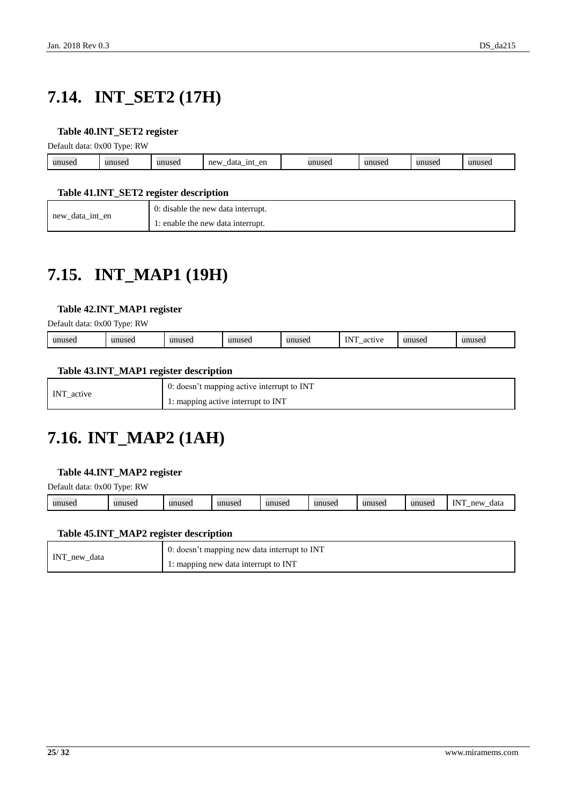# <span id="page-24-0"></span>**7.14. INT\_SET2 (17H)**

#### <span id="page-24-3"></span>**Table 40.INT\_SET2 register**

Default data: 0x00 Type: RW

|                            | . . |                   |                                             |        |               |         |
|----------------------------|-----|-------------------|---------------------------------------------|--------|---------------|---------|
| $\mathbf{u}$<br><b>use</b> |     | IIDIICPI<br>TSCL. | en<br>new<br>1nt<br>data<br><u>_</u><br>$-$ | 11n11c | 11111<br>31.1 | 1111100 |
|                            |     |                   |                                             |        |               |         |

#### <span id="page-24-4"></span>**Table 41.INT\_SET2 register description**

| new_data_int_en | 0: disable the new data interrupt. |
|-----------------|------------------------------------|
|                 | 1: enable the new data interrupt.  |

## <span id="page-24-1"></span>**7.15. INT\_MAP1 (19H)**

#### <span id="page-24-5"></span>**Table 42.INT\_MAP1 register**

Default data: 0x00 Type: RW

| $N^{\tau}$<br>unuseo<br>0.01117<br>unused<br>unuseo<br>unuseo<br>unusec<br><b>TTANTI</b><br>unused<br>$\alpha$<br>. JOCU<br>ac<br>.<br>nooc<br> |
|-------------------------------------------------------------------------------------------------------------------------------------------------|
|-------------------------------------------------------------------------------------------------------------------------------------------------|

#### <span id="page-24-6"></span>**Table 43.INT\_MAP1 register description**

| INT active | 0: doesn't mapping active interrupt to INT |
|------------|--------------------------------------------|
|            | 1: mapping active interrupt to INT         |

### <span id="page-24-2"></span>**7.16. INT\_MAP2 (1AH)**

#### <span id="page-24-7"></span>**Table 44.INT\_MAP2 register**

Default data: 0x00 Type: RW

| <b>TNIT</b><br>unused<br>unused<br>unused<br>unused<br>mne<br>new<br>unused<br>unusec<br>1113<br>data<br>musec<br><br> |
|------------------------------------------------------------------------------------------------------------------------|
|------------------------------------------------------------------------------------------------------------------------|

#### <span id="page-24-8"></span>**Table 45.INT\_MAP2 register description**

| INT_new_data | $\overline{0}$ : doesn't mapping new data interrupt to INT |
|--------------|------------------------------------------------------------|
|              | 1: mapping new data interrupt to INT                       |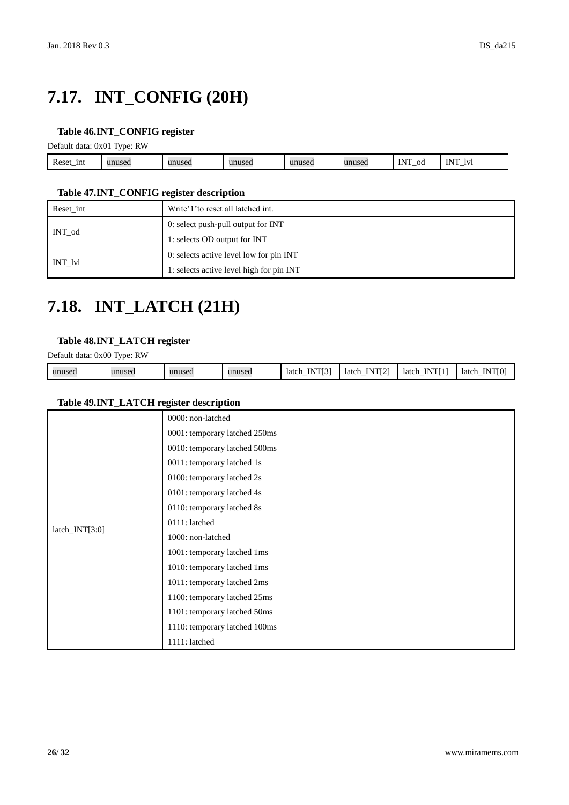# <span id="page-25-0"></span>**7.17. INT\_CONFIG (20H)**

#### <span id="page-25-2"></span>**Table 46.INT\_CONFIG register**

Default data: 0x01 Type: RW

| $\sim$<br>1nt<br>Reset_1 | 5C | ISCO | unuse | unuseo | $-$<br>m<br>oc<br>.<br>— | $\sim$<br>או<br>$_{\rm IV}$<br>. — |  |
|--------------------------|----|------|-------|--------|--------------------------|------------------------------------|--|
|                          |    |      |       |        |                          |                                    |  |

#### <span id="page-25-3"></span>**Table 47.INT\_CONFIG register description**

| Reset int | Write'1' to reset all latched int.       |
|-----------|------------------------------------------|
| INT od    | 0: select push-pull output for INT       |
|           | 1: selects OD output for INT             |
|           | 0: selects active level low for pin INT  |
| INT lvl   | 1: selects active level high for pin INT |

### <span id="page-25-1"></span>**7.18. INT\_LATCH (21H)**

#### <span id="page-25-4"></span>**Table 48.INT\_LATCH register**

Default data: 0x00 Type: RW

| unused | unused | unused | unused | <b>TAIRDEAT</b><br>N<br>latch<br>-------_- | TNTPCTA<br>ΙN<br>latch<br>$\overline{\phantom{0}}$ | VTI 11<br>latch<br><br>. | <b>INTIO</b><br>latch<br>. |
|--------|--------|--------|--------|--------------------------------------------|----------------------------------------------------|--------------------------|----------------------------|

#### <span id="page-25-5"></span>**Table 49.INT\_LATCH register description**

|                  | 0000: non-latched             |
|------------------|-------------------------------|
|                  | 0001: temporary latched 250ms |
|                  | 0010: temporary latched 500ms |
|                  | 0011: temporary latched 1s    |
|                  | 0100: temporary latched 2s    |
|                  | 0101: temporary latched 4s    |
|                  | 0110: temporary latched 8s    |
|                  | 0111: latched                 |
| $latch_NTT[3:0]$ | 1000: non-latched             |
|                  | 1001: temporary latched 1ms   |
|                  | 1010: temporary latched 1ms   |
|                  | 1011: temporary latched 2ms   |
|                  | 1100: temporary latched 25ms  |
|                  | 1101: temporary latched 50ms  |
|                  | 1110: temporary latched 100ms |
|                  | 1111: latched                 |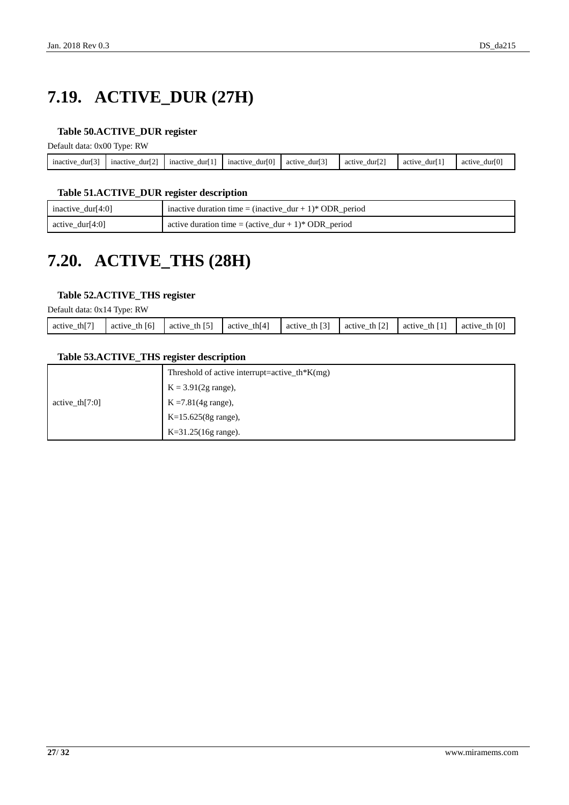# <span id="page-26-0"></span>**7.19. ACTIVE\_DUR (27H)**

#### <span id="page-26-2"></span>**Table 50.ACTIVE\_DUR register**

Default data: 0x00 Type: RW

| - -             |                          | r 4 3                    |                                  |                          |                          | .                        |                              |
|-----------------|--------------------------|--------------------------|----------------------------------|--------------------------|--------------------------|--------------------------|------------------------------|
| inactive<br>dur | 521<br>mactive<br>durl 2 | inactive<br>dur'         | <b>E 0.3</b><br>mactive<br>durl0 | ro 3<br>dur<br>active    | ro:<br>dur12<br>activ    | dur<br>active            | <b>FO-</b><br>durll<br>activ |
| $-$             | -                        | $\overline{\phantom{a}}$ | -                                | $\overline{\phantom{a}}$ | $\overline{\phantom{a}}$ | $\overline{\phantom{a}}$ | -                            |
|                 |                          |                          |                                  |                          |                          |                          |                              |

#### <span id="page-26-3"></span>**Table 51.ACTIVE\_DUR register description**

| inactive_dur[4:0]   | inactive duration time = $(inactive\_dur + 1)*ODR\_period$              |
|---------------------|-------------------------------------------------------------------------|
| $\arctive_dur[4:0]$ | active duration time = $(\text{active\_dur} + 1)^* \text{ ODR\_period}$ |

## <span id="page-26-1"></span>**7.20. ACTIVE\_THS (28H)**

#### <span id="page-26-4"></span>**Table 52.ACTIVE\_THS register**

Default data: 0x14 Type: RW

| th $[7]$<br>active | [6]<br>th<br>active | th $[5]$<br>active | th[4]<br>active | $\lceil 3 \rceil$<br>th<br>active | <b>ECT</b><br>th<br>active | th I<br>active | th $[0]$<br>active |
|--------------------|---------------------|--------------------|-----------------|-----------------------------------|----------------------------|----------------|--------------------|
|                    |                     |                    |                 |                                   |                            |                |                    |

#### <span id="page-26-5"></span>**Table 53.ACTIVE\_THS register description**

|                   | Threshold of active interrupt=active_th*K(mg) |
|-------------------|-----------------------------------------------|
|                   | $K = 3.91(2g \text{ range}),$                 |
| active th $[7:0]$ | $K = 7.81(4g \text{ range})$ ,                |
|                   | $K=15.625(8g \text{ range}),$                 |
|                   | $K=31.25(16g \text{ range}).$                 |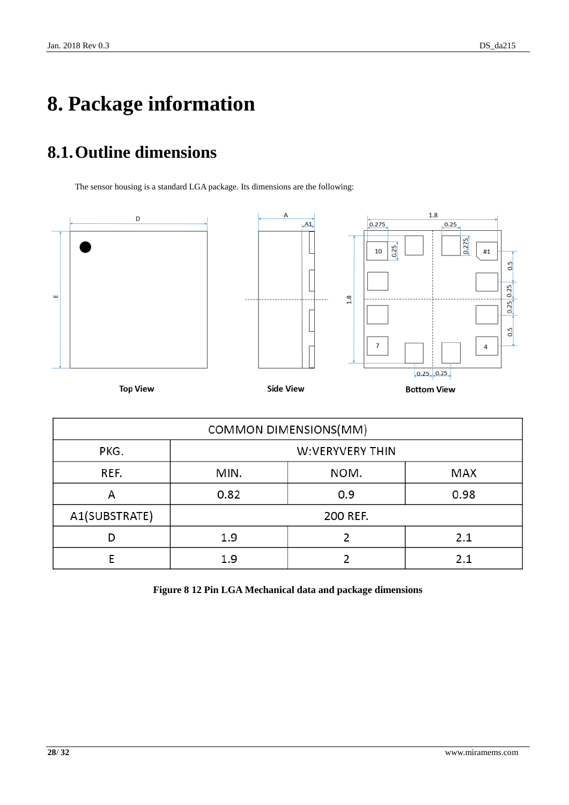# <span id="page-27-0"></span>**8. Package information**

## <span id="page-27-1"></span>**8.1.Outline dimensions**

The sensor housing is a standard LGA package. Its dimensions are the following:



| COMMON DIMENSIONS(MM) |                     |  |      |  |  |
|-----------------------|---------------------|--|------|--|--|
| PKG.                  | W:VERYVERY THIN     |  |      |  |  |
| REF.                  | NOM.<br>MIN.<br>MAX |  |      |  |  |
| А                     | 0.82<br>0.9         |  | 0.98 |  |  |
| A1(SUBSTRATE)         | 200 REF.            |  |      |  |  |
|                       | 2.1<br>1.9          |  |      |  |  |
|                       | 1.9                 |  | 2.1  |  |  |

<span id="page-27-2"></span>**Figure 8 12 Pin LGA Mechanical data and package dimensions**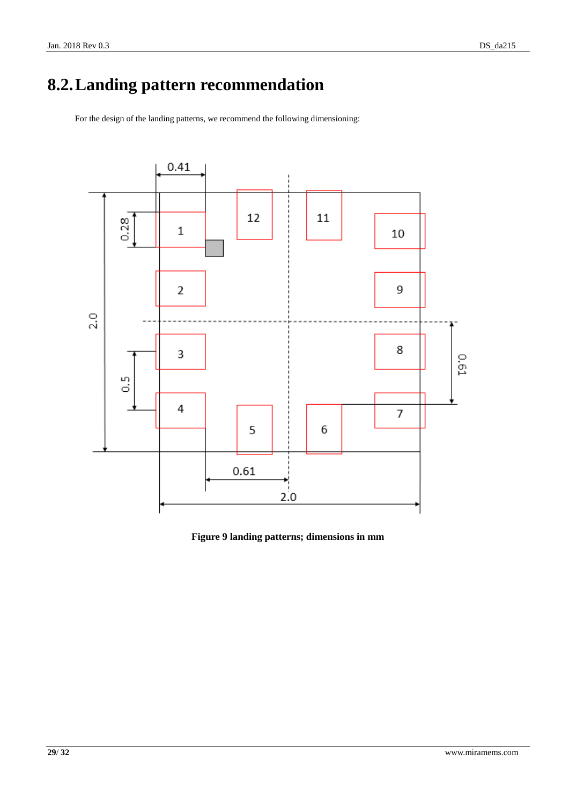# <span id="page-28-0"></span>**8.2.Landing pattern recommendation**

For the design of the landing patterns, we recommend the following dimensioning:



<span id="page-28-1"></span>**Figure 9 landing patterns; dimensions in mm**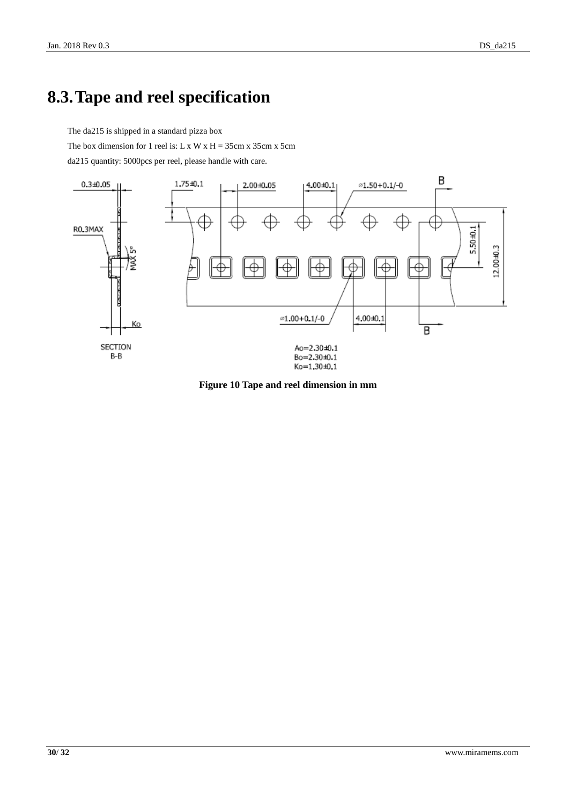### <span id="page-29-0"></span>**8.3.Tape and reel specification**

The da215 is shipped in a standard pizza box

The box dimension for 1 reel is: L x W x H =  $35cm x 35cm x 5cm$ 

da215 quantity: 5000pcs per reel, please handle with care.



<span id="page-29-1"></span>**Figure 10 Tape and reel dimension in mm**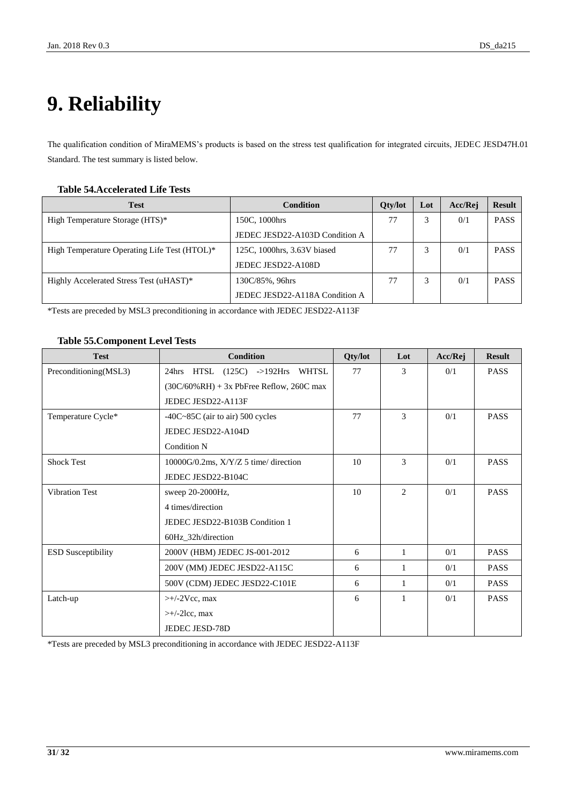# <span id="page-30-0"></span>**9. Reliability**

The qualification condition of MiraMEMS's products is based on the stress test qualification for integrated circuits, JEDEC JESD47H.01 Standard. The test summary is listed below.

#### <span id="page-30-1"></span>**Table 54.Accelerated Life Tests**

| <b>Test</b>                                  | Condition                      | <b>Oty/lot</b> | Lot | Acc/Rej | <b>Result</b> |
|----------------------------------------------|--------------------------------|----------------|-----|---------|---------------|
| High Temperature Storage (HTS)*              | 150C, 1000hrs                  | 77             |     | 0/1     | <b>PASS</b>   |
|                                              | JEDEC JESD22-A103D Condition A |                |     |         |               |
| High Temperature Operating Life Test (HTOL)* | 125C, 1000hrs, 3.63V biased    | 77             |     | 0/1     | <b>PASS</b>   |
|                                              | JEDEC JESD22-A108D             |                |     |         |               |
| Highly Accelerated Stress Test (uHAST)*      | 130C/85%, 96hrs                | 77             |     | 0/1     | <b>PASS</b>   |
|                                              | JEDEC JESD22-A118A Condition A |                |     |         |               |

\*Tests are preceded by MSL3 preconditioning in accordance with JEDEC JESD22-A113F

#### <span id="page-30-2"></span>**Table 55.Component Level Tests**

| <b>Test</b>               | <b>Condition</b>                             | Qty/lot | Lot            | Acc/Rej | <b>Result</b> |
|---------------------------|----------------------------------------------|---------|----------------|---------|---------------|
| Preconditioning(MSL3)     | 24hrs HTSL (125C) ->192Hrs WHTSL             | 77      | 3              | 0/1     | <b>PASS</b>   |
|                           | $(30C/60\% RH) + 3x$ PbFree Reflow, 260C max |         |                |         |               |
|                           | JEDEC JESD22-A113F                           |         |                |         |               |
| Temperature Cycle*        | $-40C-85C$ (air to air) 500 cycles           | 77      | $\mathcal{F}$  | 0/1     | <b>PASS</b>   |
|                           | JEDEC JESD22-A104D                           |         |                |         |               |
|                           | <b>Condition N</b>                           |         |                |         |               |
| <b>Shock Test</b>         | $10000G/0.2ms$ , $X/Y/Z$ 5 time/ direction   | 10      | 3              | 0/1     | <b>PASS</b>   |
|                           | JEDEC JESD22-B104C                           |         |                |         |               |
| <b>Vibration Test</b>     | sweep 20-2000Hz,                             | 10      | $\overline{2}$ | 0/1     | <b>PASS</b>   |
|                           | 4 times/direction                            |         |                |         |               |
|                           | JEDEC JESD22-B103B Condition 1               |         |                |         |               |
|                           | 60Hz_32h/direction                           |         |                |         |               |
| <b>ESD Susceptibility</b> | 2000V (HBM) JEDEC JS-001-2012                | 6       | $\mathbf{1}$   | 0/1     | <b>PASS</b>   |
|                           | 200V (MM) JEDEC JESD22-A115C                 | 6       | 1              | 0/1     | <b>PASS</b>   |
|                           | 500V (CDM) JEDEC JESD22-C101E                | 6       | $\mathbf{1}$   | 0/1     | <b>PASS</b>   |
| Latch-up                  | $\rightarrow$ +/-2Vcc, max                   | 6       | 1              | 0/1     | <b>PASS</b>   |
|                           | $\rightarrow$ +/-2lcc, max                   |         |                |         |               |
|                           | JEDEC JESD-78D                               |         |                |         |               |

\*Tests are preceded by MSL3 preconditioning in accordance with JEDEC JESD22-A113F